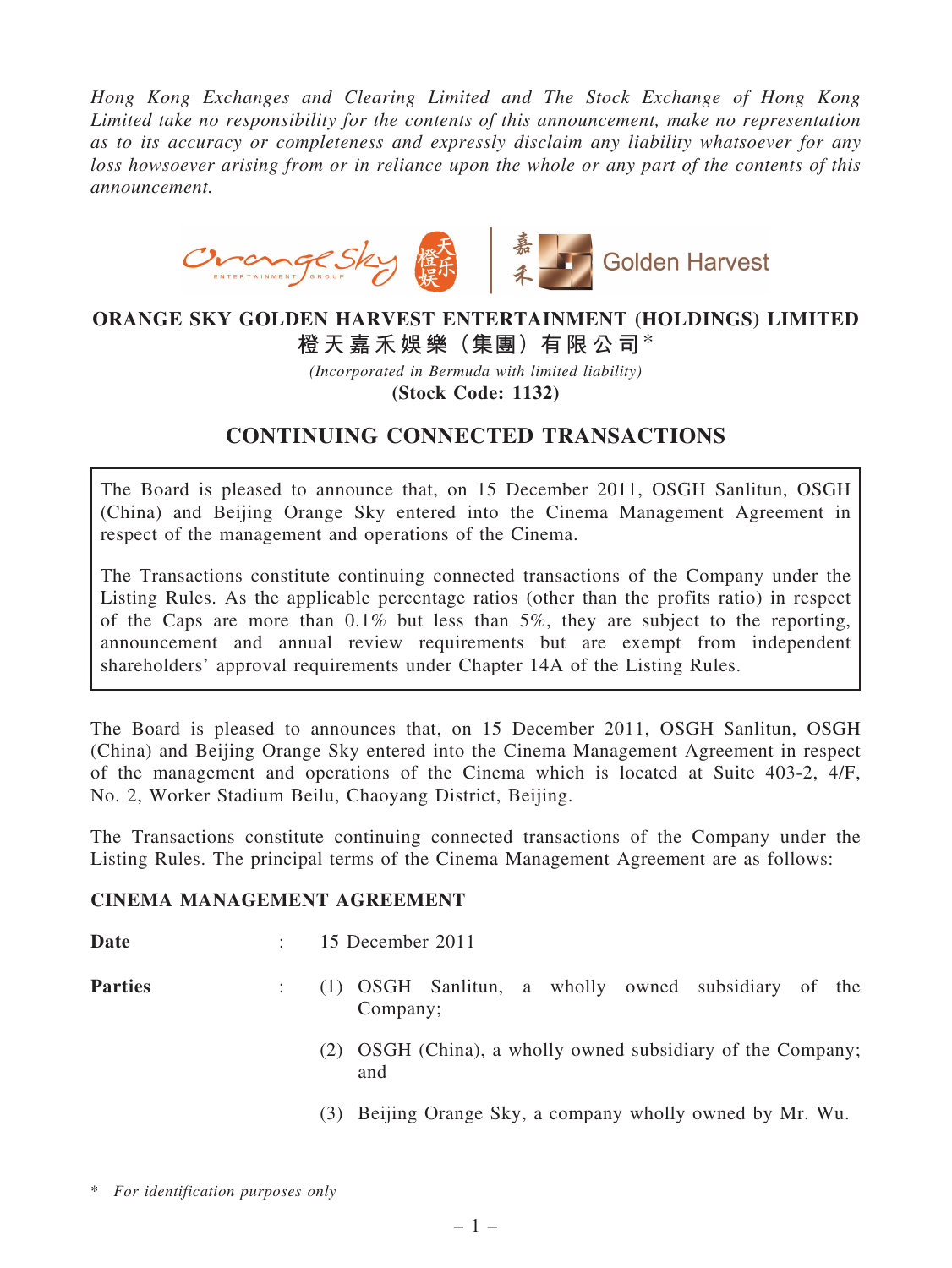*Hong Kong Exchanges and Clearing Limited and The Stock Exchange of Hong Kong Limited take no responsibility for the contents of this announcement, make no representation as to its accuracy or completeness and expressly disclaim any liability whatsoever for any loss howsoever arising from or in reliance upon the whole or any part of the contents of this announcement.*



### ORANGE SKY GOLDEN HARVEST ENTERTAINMENT (HOLDINGS) LIMITED 橙天嘉禾娛樂(集團)有限公司\*

*(Incorporated in Bermuda with limited liability)* (Stock Code: 1132)

# CONTINUING CONNECTED TRANSACTIONS

The Board is pleased to announce that, on 15 December 2011, OSGH Sanlitun, OSGH (China) and Beijing Orange Sky entered into the Cinema Management Agreement in respect of the management and operations of the Cinema.

The Transactions constitute continuing connected transactions of the Company under the Listing Rules. As the applicable percentage ratios (other than the profits ratio) in respect of the Caps are more than 0.1% but less than 5%, they are subject to the reporting, announcement and annual review requirements but are exempt from independent shareholders' approval requirements under Chapter 14A of the Listing Rules.

The Board is pleased to announces that, on 15 December 2011, OSGH Sanlitun, OSGH (China) and Beijing Orange Sky entered into the Cinema Management Agreement in respect of the management and operations of the Cinema which is located at Suite 403-2, 4/F, No. 2, Worker Stadium Beilu, Chaoyang District, Beijing.

The Transactions constitute continuing connected transactions of the Company under the Listing Rules. The principal terms of the Cinema Management Agreement are as follows:

#### CINEMA MANAGEMENT AGREEMENT

Date : 15 December 2011

- Parties : (1) OSGH Sanlitun, a wholly owned subsidiary of the Company;
	- (2) OSGH (China), a wholly owned subsidiary of the Company; and
	- (3) Beijing Orange Sky, a company wholly owned by Mr. Wu.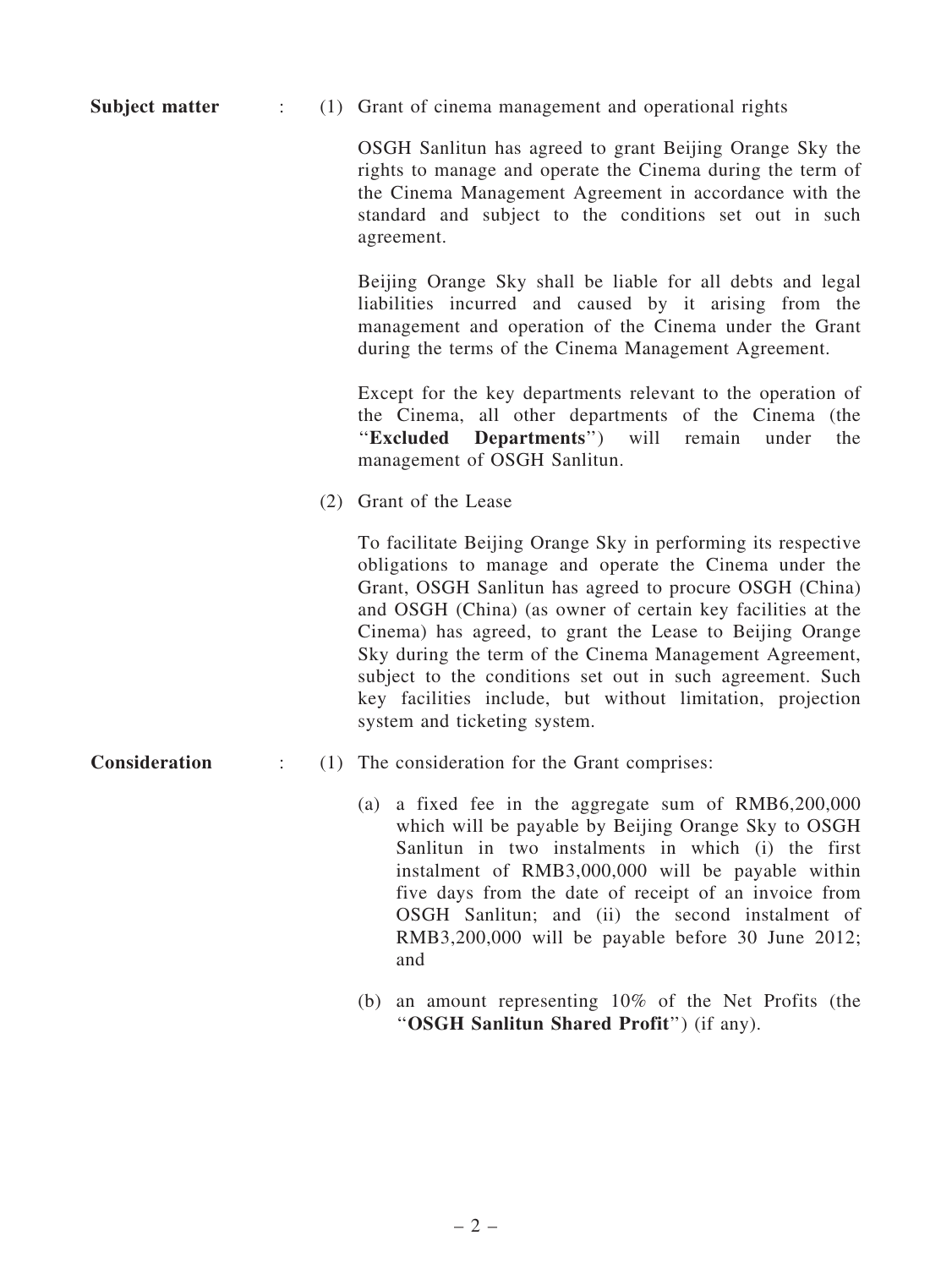Subject matter : (1) Grant of cinema management and operational rights

OSGH Sanlitun has agreed to grant Beijing Orange Sky the rights to manage and operate the Cinema during the term of the Cinema Management Agreement in accordance with the standard and subject to the conditions set out in such agreement.

Beijing Orange Sky shall be liable for all debts and legal liabilities incurred and caused by it arising from the management and operation of the Cinema under the Grant during the terms of the Cinema Management Agreement.

Except for the key departments relevant to the operation of the Cinema, all other departments of the Cinema (the ''Excluded Departments'') will remain under the management of OSGH Sanlitun.

(2) Grant of the Lease

To facilitate Beijing Orange Sky in performing its respective obligations to manage and operate the Cinema under the Grant, OSGH Sanlitun has agreed to procure OSGH (China) and OSGH (China) (as owner of certain key facilities at the Cinema) has agreed, to grant the Lease to Beijing Orange Sky during the term of the Cinema Management Agreement, subject to the conditions set out in such agreement. Such key facilities include, but without limitation, projection system and ticketing system.

- 
- **Consideration :** (1) The consideration for the Grant comprises:
	- (a) a fixed fee in the aggregate sum of RMB6,200,000 which will be payable by Beijing Orange Sky to OSGH Sanlitun in two instalments in which (i) the first instalment of RMB3,000,000 will be payable within five days from the date of receipt of an invoice from OSGH Sanlitun; and (ii) the second instalment of RMB3,200,000 will be payable before 30 June 2012; and
	- (b) an amount representing 10% of the Net Profits (the "OSGH Sanlitun Shared Profit") (if any).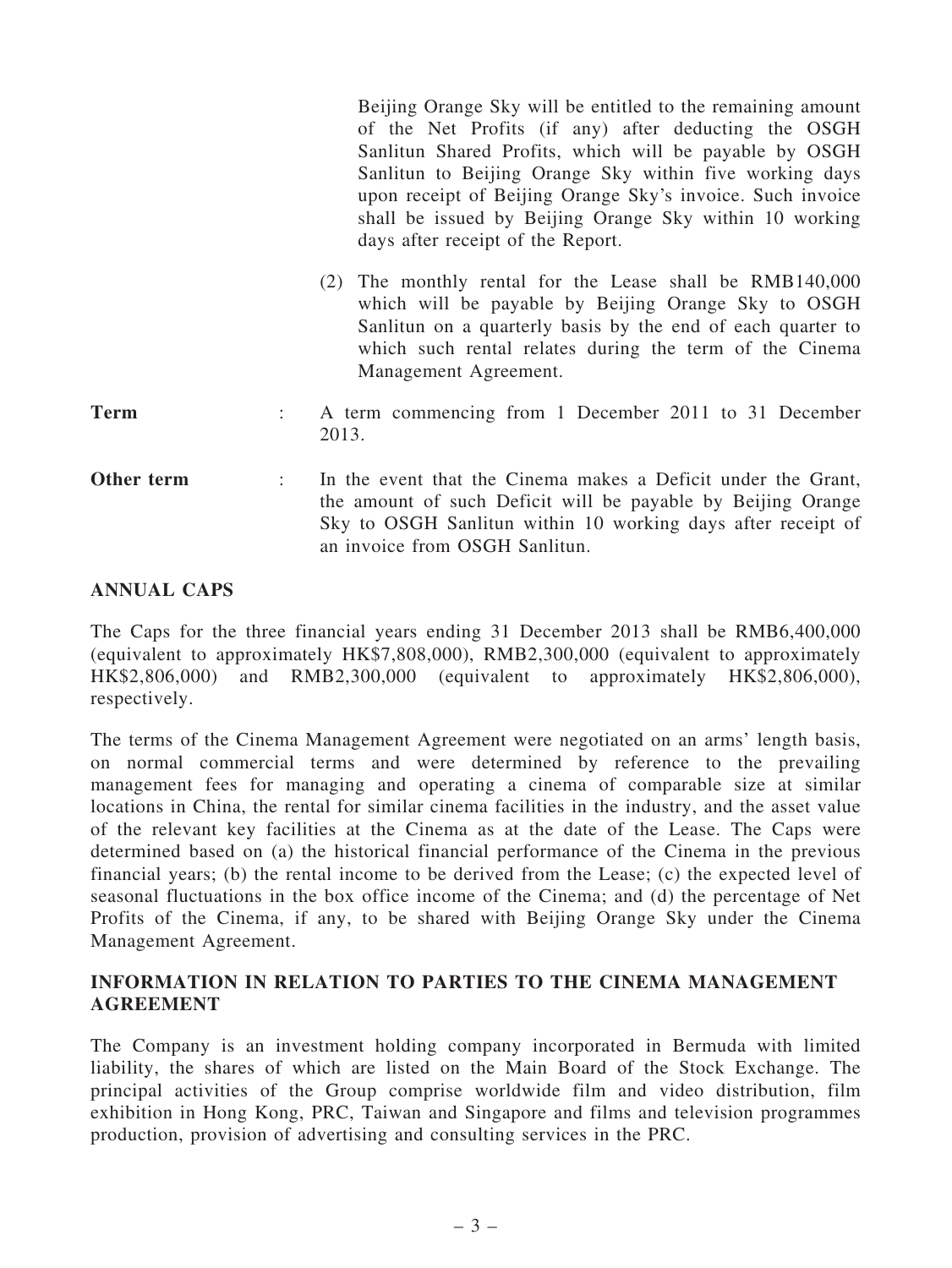|             |   | Beijing Orange Sky will be entitled to the remaining amount<br>of the Net Profits (if any) after deducting the OSGH<br>Sanlitun Shared Profits, which will be payable by OSGH<br>Sanlitun to Beijing Orange Sky within five working days<br>upon receipt of Beijing Orange Sky's invoice. Such invoice<br>shall be issued by Beijing Orange Sky within 10 working<br>days after receipt of the Report. |  |
|-------------|---|--------------------------------------------------------------------------------------------------------------------------------------------------------------------------------------------------------------------------------------------------------------------------------------------------------------------------------------------------------------------------------------------------------|--|
|             |   | (2) The monthly rental for the Lease shall be RMB140,000<br>which will be payable by Beijing Orange Sky to OSGH<br>Sanlitun on a quarterly basis by the end of each quarter to<br>which such rental relates during the term of the Cinema<br>Management Agreement.                                                                                                                                     |  |
| <b>Term</b> |   | A term commencing from 1 December 2011 to 31 December<br>2013.                                                                                                                                                                                                                                                                                                                                         |  |
| Other term  | ÷ | In the event that the Cinema makes a Deficit under the Grant,<br>the amount of such Deficit will be payable by Beijing Orange<br>Sky to OSGH Sanlitun within 10 working days after receipt of<br>an invoice from OSGH Sanlitun                                                                                                                                                                         |  |

#### ANNUAL CAPS

The Caps for the three financial years ending 31 December 2013 shall be RMB6,400,000 (equivalent to approximately HK\$7,808,000), RMB2,300,000 (equivalent to approximately HK\$2,806,000) and RMB2,300,000 (equivalent to approximately HK\$2,806,000), respectively.

The terms of the Cinema Management Agreement were negotiated on an arms' length basis, on normal commercial terms and were determined by reference to the prevailing management fees for managing and operating a cinema of comparable size at similar locations in China, the rental for similar cinema facilities in the industry, and the asset value of the relevant key facilities at the Cinema as at the date of the Lease. The Caps were determined based on (a) the historical financial performance of the Cinema in the previous financial years; (b) the rental income to be derived from the Lease; (c) the expected level of seasonal fluctuations in the box office income of the Cinema; and (d) the percentage of Net Profits of the Cinema, if any, to be shared with Beijing Orange Sky under the Cinema Management Agreement.

#### INFORMATION IN RELATION TO PARTIES TO THE CINEMA MANAGEMENT AGREEMENT

The Company is an investment holding company incorporated in Bermuda with limited liability, the shares of which are listed on the Main Board of the Stock Exchange. The principal activities of the Group comprise worldwide film and video distribution, film exhibition in Hong Kong, PRC, Taiwan and Singapore and films and television programmes production, provision of advertising and consulting services in the PRC.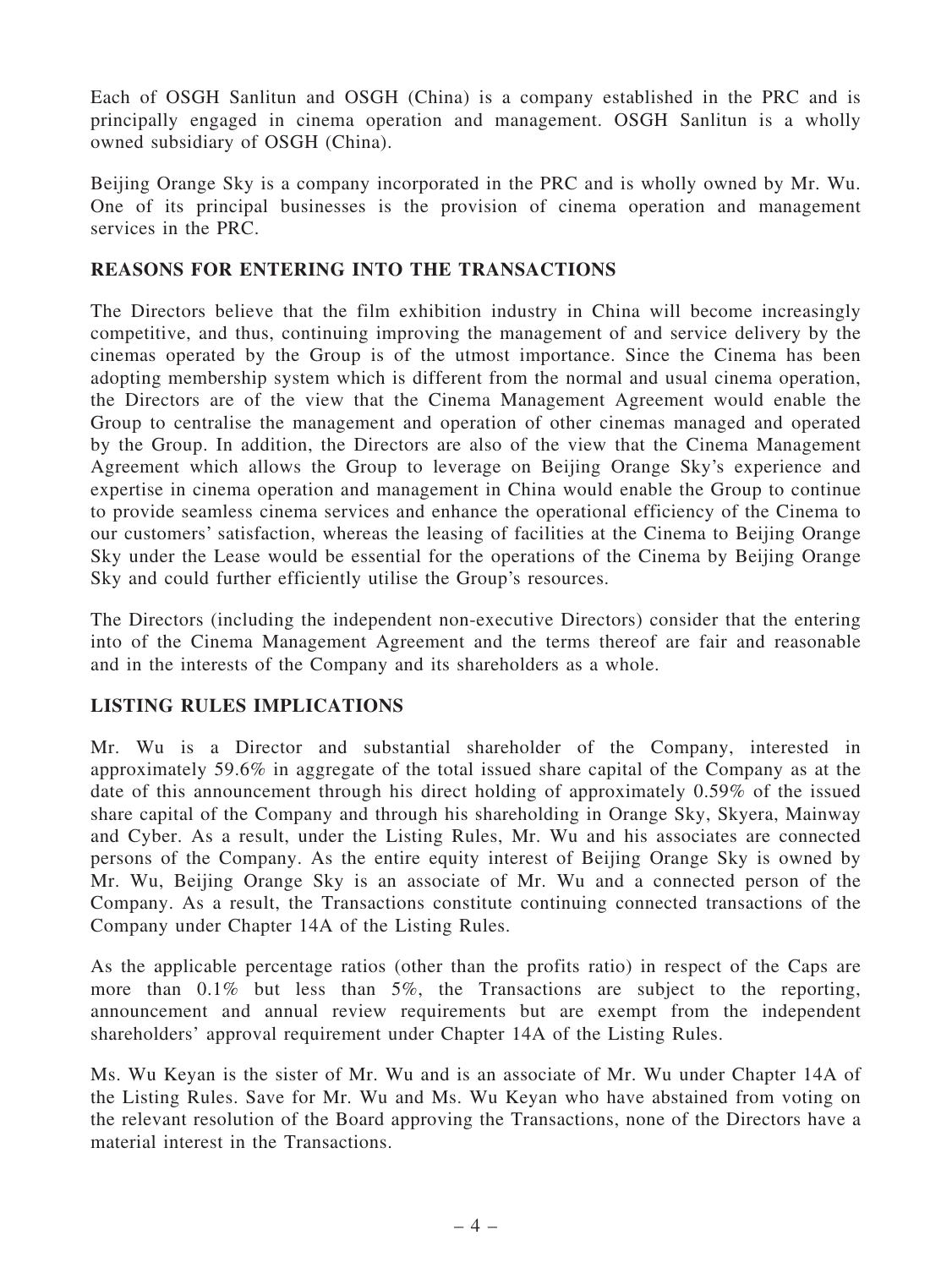Each of OSGH Sanlitun and OSGH (China) is a company established in the PRC and is principally engaged in cinema operation and management. OSGH Sanlitun is a wholly owned subsidiary of OSGH (China).

Beijing Orange Sky is a company incorporated in the PRC and is wholly owned by Mr. Wu. One of its principal businesses is the provision of cinema operation and management services in the PRC.

#### REASONS FOR ENTERING INTO THE TRANSACTIONS

The Directors believe that the film exhibition industry in China will become increasingly competitive, and thus, continuing improving the management of and service delivery by the cinemas operated by the Group is of the utmost importance. Since the Cinema has been adopting membership system which is different from the normal and usual cinema operation, the Directors are of the view that the Cinema Management Agreement would enable the Group to centralise the management and operation of other cinemas managed and operated by the Group. In addition, the Directors are also of the view that the Cinema Management Agreement which allows the Group to leverage on Beijing Orange Sky's experience and expertise in cinema operation and management in China would enable the Group to continue to provide seamless cinema services and enhance the operational efficiency of the Cinema to our customers' satisfaction, whereas the leasing of facilities at the Cinema to Beijing Orange Sky under the Lease would be essential for the operations of the Cinema by Beijing Orange Sky and could further efficiently utilise the Group's resources.

The Directors (including the independent non-executive Directors) consider that the entering into of the Cinema Management Agreement and the terms thereof are fair and reasonable and in the interests of the Company and its shareholders as a whole.

#### LISTING RULES IMPLICATIONS

Mr. Wu is a Director and substantial shareholder of the Company, interested in approximately 59.6% in aggregate of the total issued share capital of the Company as at the date of this announcement through his direct holding of approximately 0.59% of the issued share capital of the Company and through his shareholding in Orange Sky, Skyera, Mainway and Cyber. As a result, under the Listing Rules, Mr. Wu and his associates are connected persons of the Company. As the entire equity interest of Beijing Orange Sky is owned by Mr. Wu, Beijing Orange Sky is an associate of Mr. Wu and a connected person of the Company. As a result, the Transactions constitute continuing connected transactions of the Company under Chapter 14A of the Listing Rules.

As the applicable percentage ratios (other than the profits ratio) in respect of the Caps are more than 0.1% but less than 5%, the Transactions are subject to the reporting, announcement and annual review requirements but are exempt from the independent shareholders' approval requirement under Chapter 14A of the Listing Rules.

Ms. Wu Keyan is the sister of Mr. Wu and is an associate of Mr. Wu under Chapter 14A of the Listing Rules. Save for Mr. Wu and Ms. Wu Keyan who have abstained from voting on the relevant resolution of the Board approving the Transactions, none of the Directors have a material interest in the Transactions.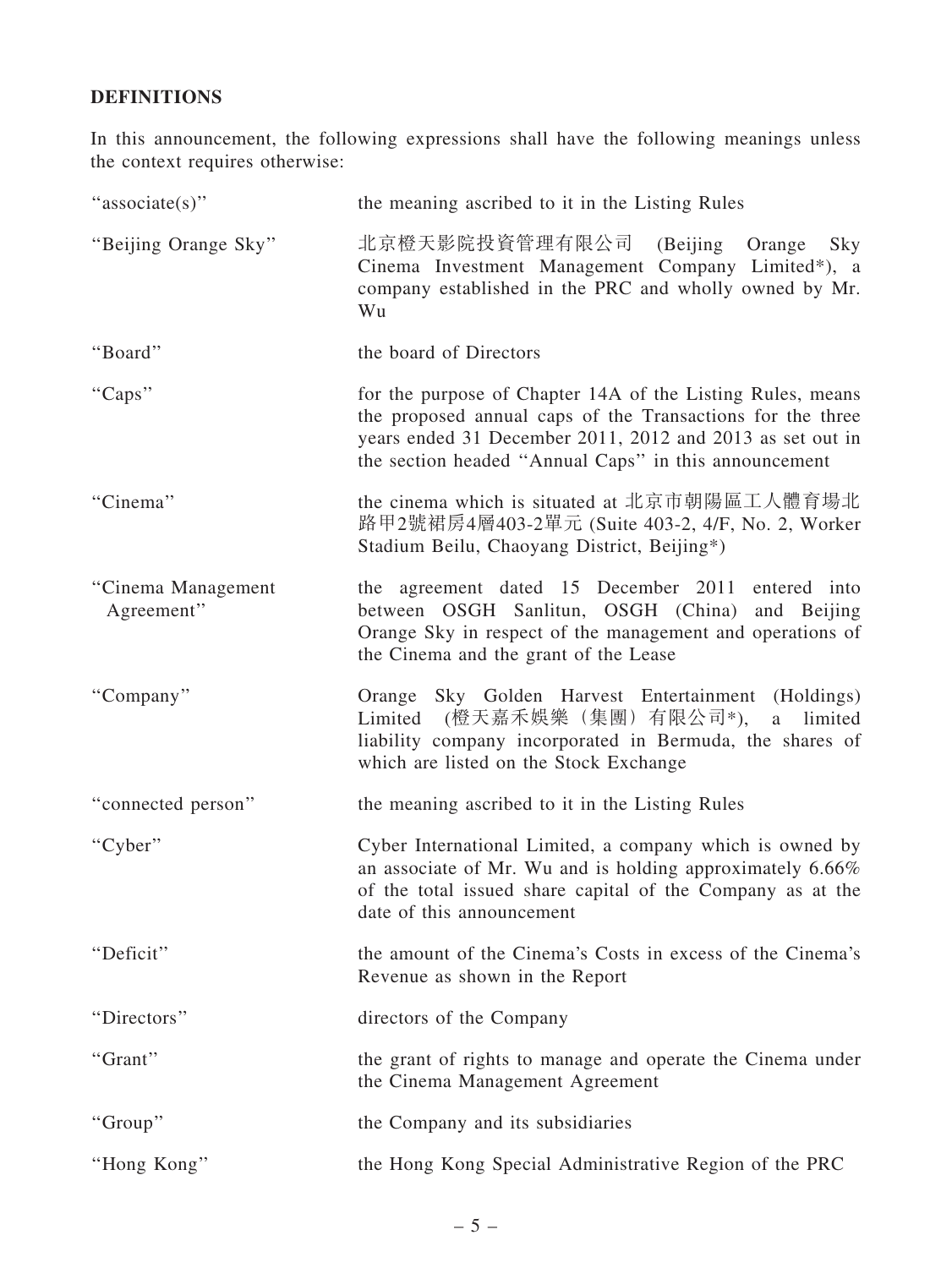## DEFINITIONS

In this announcement, the following expressions shall have the following meanings unless the context requires otherwise:

| "associate(s)"                   | the meaning ascribed to it in the Listing Rules                                                                                                                                                                                                |
|----------------------------------|------------------------------------------------------------------------------------------------------------------------------------------------------------------------------------------------------------------------------------------------|
| "Beijing Orange Sky"             | 北京橙天影院投資管理有限公司<br>(Beijing Orange Sky<br>Cinema Investment Management Company Limited*), a<br>company established in the PRC and wholly owned by Mr.<br>Wu                                                                                     |
| "Board"                          | the board of Directors                                                                                                                                                                                                                         |
| "Caps"                           | for the purpose of Chapter 14A of the Listing Rules, means<br>the proposed annual caps of the Transactions for the three<br>years ended 31 December 2011, 2012 and 2013 as set out in<br>the section headed "Annual Caps" in this announcement |
| "Cinema"                         | the cinema which is situated at 北京市朝陽區工人體育場北<br>路甲2號裙房4層403-2單元 (Suite 403-2, 4/F, No. 2, Worker<br>Stadium Beilu, Chaoyang District, Beijing*)                                                                                                |
| "Cinema Management<br>Agreement" | the agreement dated 15 December 2011<br>entered into<br>between OSGH Sanlitun, OSGH (China) and Beijing<br>Orange Sky in respect of the management and operations of<br>the Cinema and the grant of the Lease                                  |
| "Company"                        | Orange Sky Golden Harvest Entertainment (Holdings)<br>Limited (橙天嘉禾娛樂(集團)有限公司*),<br>limited<br>a a<br>liability company incorporated in Bermuda, the shares of<br>which are listed on the Stock Exchange                                       |
| "connected person"               | the meaning ascribed to it in the Listing Rules                                                                                                                                                                                                |
| "Cyber"                          | Cyber International Limited, a company which is owned by<br>an associate of Mr. Wu and is holding approximately 6.66%<br>of the total issued share capital of the Company as at the<br>date of this announcement                               |
| "Deficit"                        | the amount of the Cinema's Costs in excess of the Cinema's<br>Revenue as shown in the Report                                                                                                                                                   |
| "Directors"                      | directors of the Company                                                                                                                                                                                                                       |
| "Grant"                          | the grant of rights to manage and operate the Cinema under<br>the Cinema Management Agreement                                                                                                                                                  |
| "Group"                          | the Company and its subsidiaries                                                                                                                                                                                                               |
| "Hong Kong"                      | the Hong Kong Special Administrative Region of the PRC                                                                                                                                                                                         |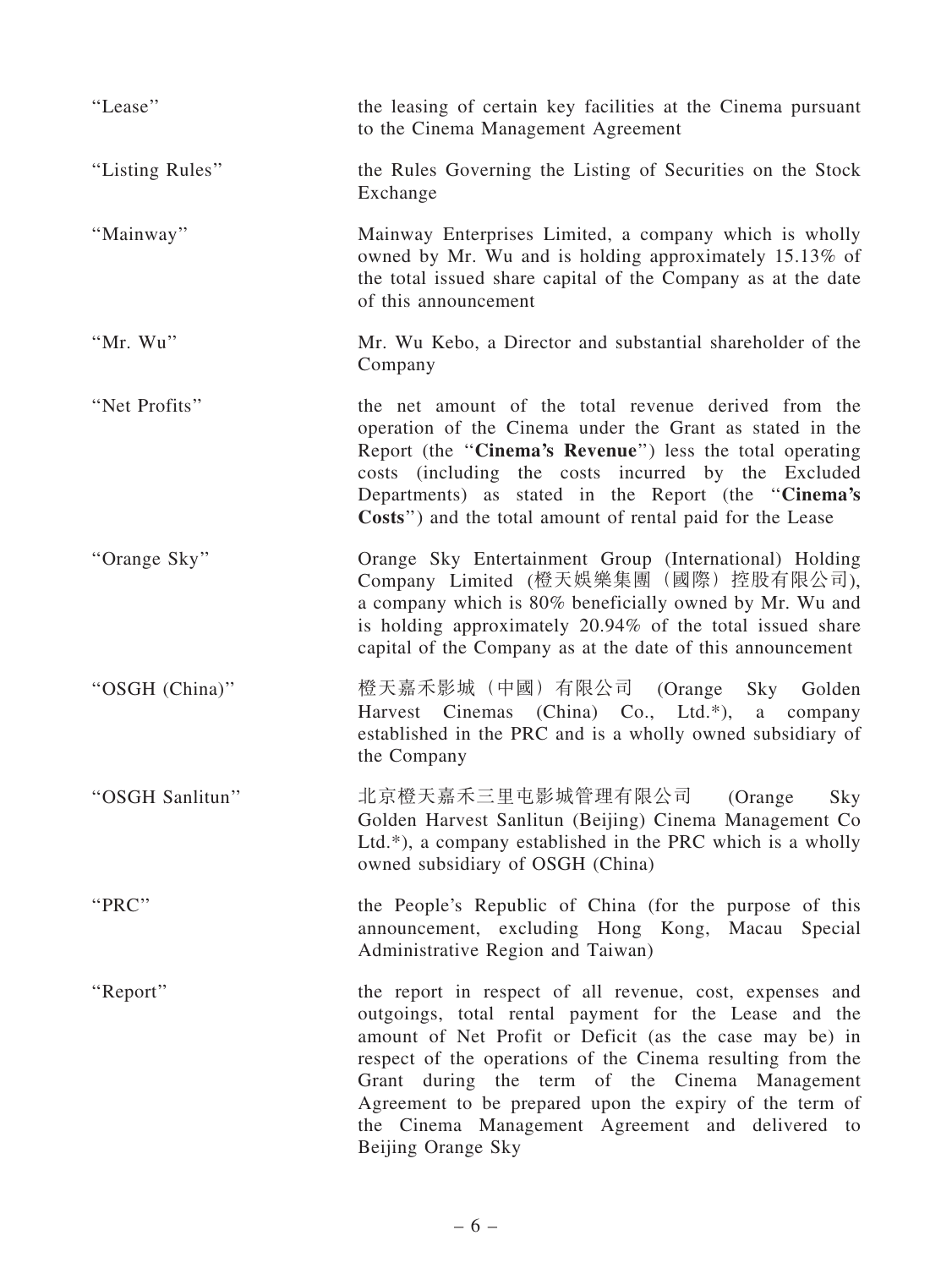| "Lease"         | the leasing of certain key facilities at the Cinema pursuant<br>to the Cinema Management Agreement                                                                                                                                                                                                                                                                                                                                |
|-----------------|-----------------------------------------------------------------------------------------------------------------------------------------------------------------------------------------------------------------------------------------------------------------------------------------------------------------------------------------------------------------------------------------------------------------------------------|
| "Listing Rules" | the Rules Governing the Listing of Securities on the Stock<br>Exchange                                                                                                                                                                                                                                                                                                                                                            |
| "Mainway"       | Mainway Enterprises Limited, a company which is wholly<br>owned by Mr. Wu and is holding approximately 15.13% of<br>the total issued share capital of the Company as at the date<br>of this announcement                                                                                                                                                                                                                          |
| "Mr. Wu"        | Mr. Wu Kebo, a Director and substantial shareholder of the<br>Company                                                                                                                                                                                                                                                                                                                                                             |
| "Net Profits"   | the net amount of the total revenue derived from the<br>operation of the Cinema under the Grant as stated in the<br>Report (the "Cinema's Revenue") less the total operating<br>costs (including the costs incurred by the Excluded<br>Departments) as stated in the Report (the "Cinema's<br>Costs") and the total amount of rental paid for the Lease                                                                           |
| "Orange Sky"    | Orange Sky Entertainment Group (International) Holding<br>Company Limited (橙天娛樂集團 (國際) 控股有限公司),<br>a company which is 80% beneficially owned by Mr. Wu and<br>is holding approximately 20.94% of the total issued share<br>capital of the Company as at the date of this announcement                                                                                                                                             |
| "OSGH (China)"  | 橙天嘉禾影城(中國)有限公司 (Orange<br>Sky Golden<br>Harvest Cinemas (China) Co., Ltd.*),<br>a<br>company<br>established in the PRC and is a wholly owned subsidiary of<br>the Company                                                                                                                                                                                                                                                         |
| "OSGH Sanlitun" | 北京橙天嘉禾三里屯影城管理有限公司<br>Sky<br>(Orange<br>Golden Harvest Sanlitun (Beijing) Cinema Management Co<br>Ltd.*), a company established in the PRC which is a wholly<br>owned subsidiary of OSGH (China)                                                                                                                                                                                                                                   |
| "PRC"           | the People's Republic of China (for the purpose of this<br>announcement, excluding Hong Kong, Macau Special<br>Administrative Region and Taiwan)                                                                                                                                                                                                                                                                                  |
| "Report"        | the report in respect of all revenue, cost, expenses and<br>outgoings, total rental payment for the Lease and the<br>amount of Net Profit or Deficit (as the case may be) in<br>respect of the operations of the Cinema resulting from the<br>Grant during the term of the Cinema Management<br>Agreement to be prepared upon the expiry of the term of<br>the Cinema Management Agreement and delivered to<br>Beijing Orange Sky |